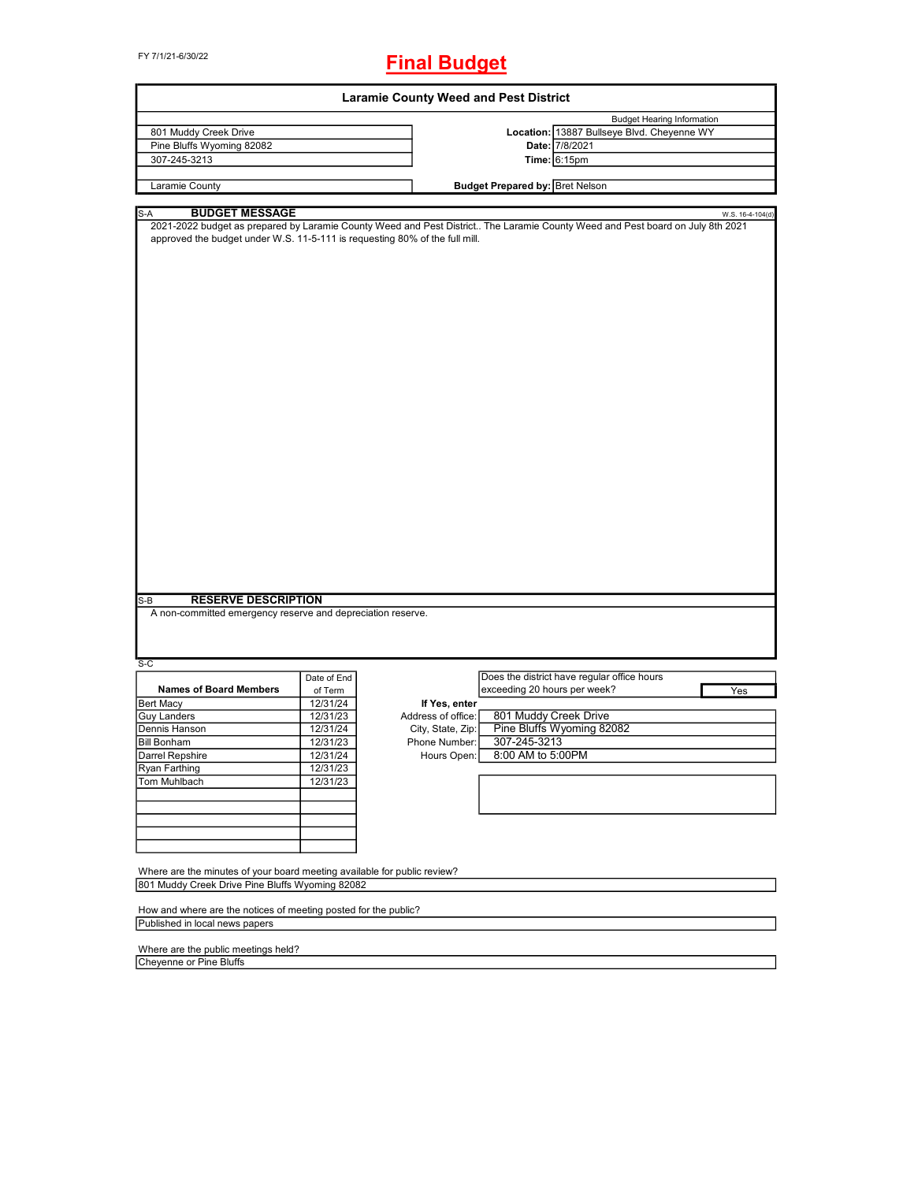FY 7/1/21-6/30/22

## **Final Budget**

|                                                                                                                                                                                                                                                                                                                  |             | <b>Laramie County Weed and Pest District</b> |                                        |                                             |                  |
|------------------------------------------------------------------------------------------------------------------------------------------------------------------------------------------------------------------------------------------------------------------------------------------------------------------|-------------|----------------------------------------------|----------------------------------------|---------------------------------------------|------------------|
|                                                                                                                                                                                                                                                                                                                  |             |                                              |                                        | <b>Budget Hearing Information</b>           |                  |
| 801 Muddy Creek Drive                                                                                                                                                                                                                                                                                            |             |                                              |                                        | Location: 13887 Bullseye Blvd. Cheyenne WY  |                  |
| Pine Bluffs Wyoming 82082                                                                                                                                                                                                                                                                                        |             |                                              |                                        | Date: 7/8/2021                              |                  |
| 307-245-3213                                                                                                                                                                                                                                                                                                     |             |                                              |                                        | Time: 6:15pm                                |                  |
|                                                                                                                                                                                                                                                                                                                  |             |                                              |                                        |                                             |                  |
| Laramie County                                                                                                                                                                                                                                                                                                   |             |                                              | <b>Budget Prepared by: Bret Nelson</b> |                                             |                  |
| S-A<br><b>BUDGET MESSAGE</b>                                                                                                                                                                                                                                                                                     |             |                                              |                                        |                                             | W.S. 16-4-104(d) |
| 2021-2022 budget as prepared by Laramie County Weed and Pest District The Laramie County Weed and Pest board on July 8th 2021<br>approved the budget under W.S. 11-5-111 is requesting 80% of the full mill.<br><b>RESERVE DESCRIPTION</b><br>S-B<br>A non-committed emergency reserve and depreciation reserve. |             |                                              |                                        |                                             |                  |
| $S-C$                                                                                                                                                                                                                                                                                                            |             |                                              |                                        |                                             |                  |
|                                                                                                                                                                                                                                                                                                                  | Date of End |                                              |                                        | Does the district have regular office hours |                  |
| <b>Names of Board Members</b>                                                                                                                                                                                                                                                                                    | of Term     |                                              | exceeding 20 hours per week?           |                                             | Yes              |
| <b>Bert Macy</b>                                                                                                                                                                                                                                                                                                 | 12/31/24    | If Yes, enter                                |                                        |                                             |                  |
| <b>Guy Landers</b>                                                                                                                                                                                                                                                                                               | 12/31/23    | Address of office:                           | 801 Muddy Creek Drive                  |                                             |                  |
| Dennis Hanson                                                                                                                                                                                                                                                                                                    | 12/31/24    | City, State, Zip:                            |                                        | Pine Bluffs Wyoming 82082                   |                  |
| <b>Bill Bonham</b>                                                                                                                                                                                                                                                                                               | 12/31/23    | Phone Number:                                | 307-245-3213                           |                                             |                  |
| Darrel Repshire                                                                                                                                                                                                                                                                                                  | 12/31/24    | Hours Open:                                  | 8:00 AM to 5:00PM                      |                                             |                  |
| Ryan Farthing                                                                                                                                                                                                                                                                                                    | 12/31/23    |                                              |                                        |                                             |                  |
| Tom Muhlbach                                                                                                                                                                                                                                                                                                     | 12/31/23    |                                              |                                        |                                             |                  |
|                                                                                                                                                                                                                                                                                                                  |             |                                              |                                        |                                             |                  |
|                                                                                                                                                                                                                                                                                                                  |             |                                              |                                        |                                             |                  |
|                                                                                                                                                                                                                                                                                                                  |             |                                              |                                        |                                             |                  |
|                                                                                                                                                                                                                                                                                                                  |             |                                              |                                        |                                             |                  |
| Where are the minutes of your board meeting available for public review?<br>801 Muddy Creek Drive Pine Bluffs Wyoming 82082                                                                                                                                                                                      |             |                                              |                                        |                                             |                  |
| How and where are the notices of meeting posted for the public?                                                                                                                                                                                                                                                  |             |                                              |                                        |                                             |                  |
| Published in local news papers                                                                                                                                                                                                                                                                                   |             |                                              |                                        |                                             |                  |
|                                                                                                                                                                                                                                                                                                                  |             |                                              |                                        |                                             |                  |
| Where are the public meetings held?                                                                                                                                                                                                                                                                              |             |                                              |                                        |                                             |                  |
| Cheyenne or Pine Bluffs                                                                                                                                                                                                                                                                                          |             |                                              |                                        |                                             |                  |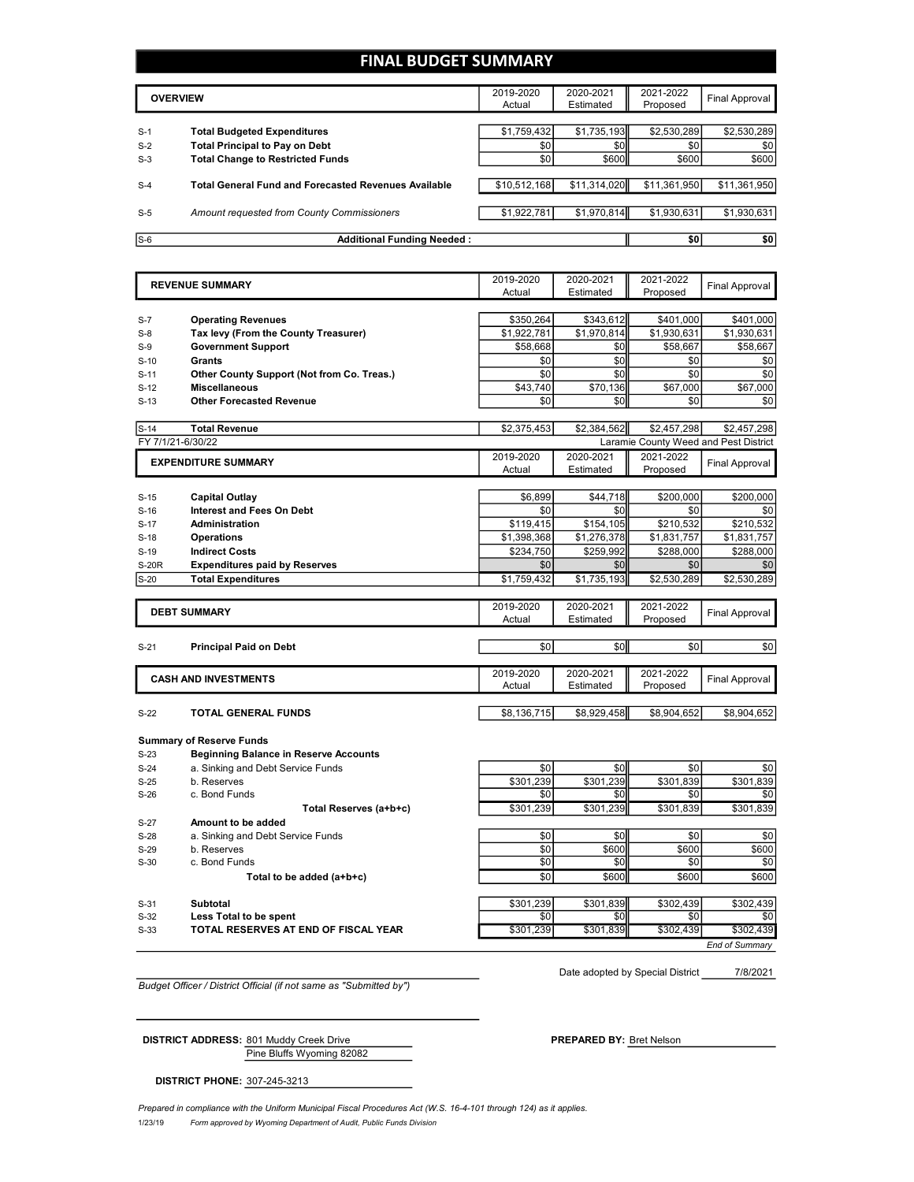#### **FINAL BUDGET SUMMARY**

|       | <b>OVERVIEW</b>                                             | 2019-2020<br>Actual | 2020-2021<br>Estimated | 2021-2022<br>Proposed | Final Approval |
|-------|-------------------------------------------------------------|---------------------|------------------------|-----------------------|----------------|
|       |                                                             |                     |                        |                       |                |
| $S-1$ | <b>Total Budgeted Expenditures</b>                          | \$1,759,432         | \$1,735,193            | \$2,530,289           | \$2,530,289    |
| $S-2$ | <b>Total Principal to Pay on Debt</b>                       | \$0                 | \$0                    | \$0                   | \$0            |
| $S-3$ | <b>Total Change to Restricted Funds</b>                     | \$0                 | \$600                  | \$600                 | \$600          |
|       |                                                             |                     |                        |                       |                |
| $S-4$ | <b>Total General Fund and Forecasted Revenues Available</b> | \$10,512,168        | \$11,314,020           | \$11,361,950          | \$11,361,950   |
|       |                                                             |                     |                        |                       |                |
| $S-5$ | Amount requested from County Commissioners                  | \$1,922,781         | \$1,970,814            | \$1,930,631           | \$1,930,631    |
|       |                                                             |                     |                        |                       |                |
| $S-6$ | <b>Additional Funding Needed:</b>                           |                     |                        | \$0                   | \$0            |

|              | <b>REVENUE SUMMARY</b>                       | 2019-2020<br>Actual | 2020-2021<br>Estimated | 2021-2022<br>Proposed | <b>Final Approval</b>                 |
|--------------|----------------------------------------------|---------------------|------------------------|-----------------------|---------------------------------------|
|              |                                              |                     |                        |                       |                                       |
| $S-7$        | <b>Operating Revenues</b>                    | \$350,264           | \$343,612              | \$401.000             | \$401.000                             |
| $S-8$        | Tax levy (From the County Treasurer)         | \$1,922,781         | \$1.970.814            | \$1.930.631           | \$1.930.631                           |
| $S-9$        | <b>Government Support</b>                    | \$58,668            | \$0                    | \$58,667              | \$58,667                              |
| $S-10$       | Grants                                       | \$0                 | \$0                    | \$0                   | \$0                                   |
| $S-11$       | Other County Support (Not from Co. Treas.)   | \$0                 | \$0                    | \$0                   | \$0                                   |
| $S-12$       | <b>Miscellaneous</b>                         | \$43,740            | \$70,136               | \$67,000              | \$67,000                              |
| $S-13$       | <b>Other Forecasted Revenue</b>              | \$0                 | \$0                    | \$0                   | \$0                                   |
|              |                                              |                     |                        |                       |                                       |
| $S-14$       | <b>Total Revenue</b>                         | \$2,375,453         | \$2,384,562            | \$2,457,298           | \$2,457,298                           |
|              | FY 7/1/21-6/30/22                            |                     |                        |                       | Laramie County Weed and Pest District |
|              | <b>EXPENDITURE SUMMARY</b>                   | 2019-2020           | 2020-2021              | 2021-2022             | <b>Final Approval</b>                 |
|              |                                              | Actual              | Estimated              | Proposed              |                                       |
|              |                                              |                     |                        |                       |                                       |
| $S-15$       | <b>Capital Outlay</b>                        | \$6,899             | \$44,718               | \$200,000             | \$200,000                             |
| $S-16$       | <b>Interest and Fees On Debt</b>             | \$0                 | \$0                    | \$0                   | \$0                                   |
| $S-17$       | <b>Administration</b>                        | \$119,415           | \$154,105              | \$210,532             | \$210,532                             |
| $S-18$       | <b>Operations</b>                            | \$1,398,368         | \$1,276,378            | \$1,831,757           | \$1,831,757                           |
| $S-19$       | <b>Indirect Costs</b>                        | \$234,750           | \$259.992              | \$288.000             | \$288,000                             |
| <b>S-20R</b> | <b>Expenditures paid by Reserves</b>         | \$0                 | \$0                    | \$0                   | \$0                                   |
| $S-20$       | <b>Total Expenditures</b>                    | \$1,759,432         | \$1,735,193            | \$2,530,289           | \$2,530,289                           |
|              |                                              | 2019-2020           | 2020-2021              | 2021-2022             |                                       |
|              | <b>DEBT SUMMARY</b>                          | Actual              | Estimated              | Proposed              | <b>Final Approval</b>                 |
|              |                                              |                     |                        |                       |                                       |
| $S-21$       | <b>Principal Paid on Debt</b>                | \$0                 | \$0                    | \$0                   | \$0                                   |
|              |                                              |                     |                        |                       |                                       |
|              | <b>CASH AND INVESTMENTS</b>                  | 2019-2020           | 2020-2021              | 2021-2022             | <b>Final Approval</b>                 |
|              |                                              | Actual              | Estimated              | Proposed              |                                       |
| $S-22$       | <b>TOTAL GENERAL FUNDS</b>                   | \$8.136.715         | \$8.929.458            | \$8.904.652           | \$8.904.652                           |
|              |                                              |                     |                        |                       |                                       |
|              | <b>Summary of Reserve Funds</b>              |                     |                        |                       |                                       |
| $S-23$       | <b>Beginning Balance in Reserve Accounts</b> |                     |                        |                       |                                       |
| $S-24$       | a. Sinking and Debt Service Funds            | \$0                 | \$0                    | \$0                   | \$0                                   |
| $S-25$       | b. Reserves                                  | \$301,239           | \$301.239              | \$301.839             | \$301,839                             |
| $S-26$       | c. Bond Funds                                | \$0                 | \$0                    | \$0                   | \$0                                   |
|              | Total Reserves (a+b+c)                       | \$301,239           | \$301,239              | \$301,839             | \$301,839                             |
| $S-27$       | Amount to be added                           |                     |                        |                       |                                       |
| $S-28$       | a. Sinking and Debt Service Funds            | \$0                 | \$0                    | \$0                   | \$0                                   |
| $S-29$       | b. Reserves                                  | \$0                 | \$600                  | \$600                 | \$600                                 |
| $S-30$       | c. Bond Funds                                | \$0                 | \$0                    | \$0                   | \$0                                   |
|              | Total to be added (a+b+c)                    | \$0                 | \$600                  | \$600                 | \$600                                 |
|              |                                              |                     |                        |                       |                                       |
| $S-31$       | Subtotal                                     | \$301,239           | \$301,839              | \$302,439             | \$302,439                             |
| $S-32$       | Less Total to be spent                       | \$0                 | \$0                    | \$0                   | \$0                                   |
|              |                                              |                     |                        |                       |                                       |
| $S-33$       | TOTAL RESERVES AT END OF FISCAL YEAR         | \$301.239           | \$301.839              | \$302.439             | \$302.439                             |

*Budget Officer / District Official (if not same as "Submitted by")*

7/8/2021 Date adopted by Special District

Pine Bluffs Wyoming 82082 **DISTRICT ADDRESS:** 801 Muddy Creek Drive **PREPARED** BY: Bret Nelson

**DISTRICT PHONE:** 307-245-3213

1/23/19 *Form approved by Wyoming Department of Audit, Public Funds Division Prepared in compliance with the Uniform Municipal Fiscal Procedures Act (W.S. 16-4-101 through 124) as it applies.*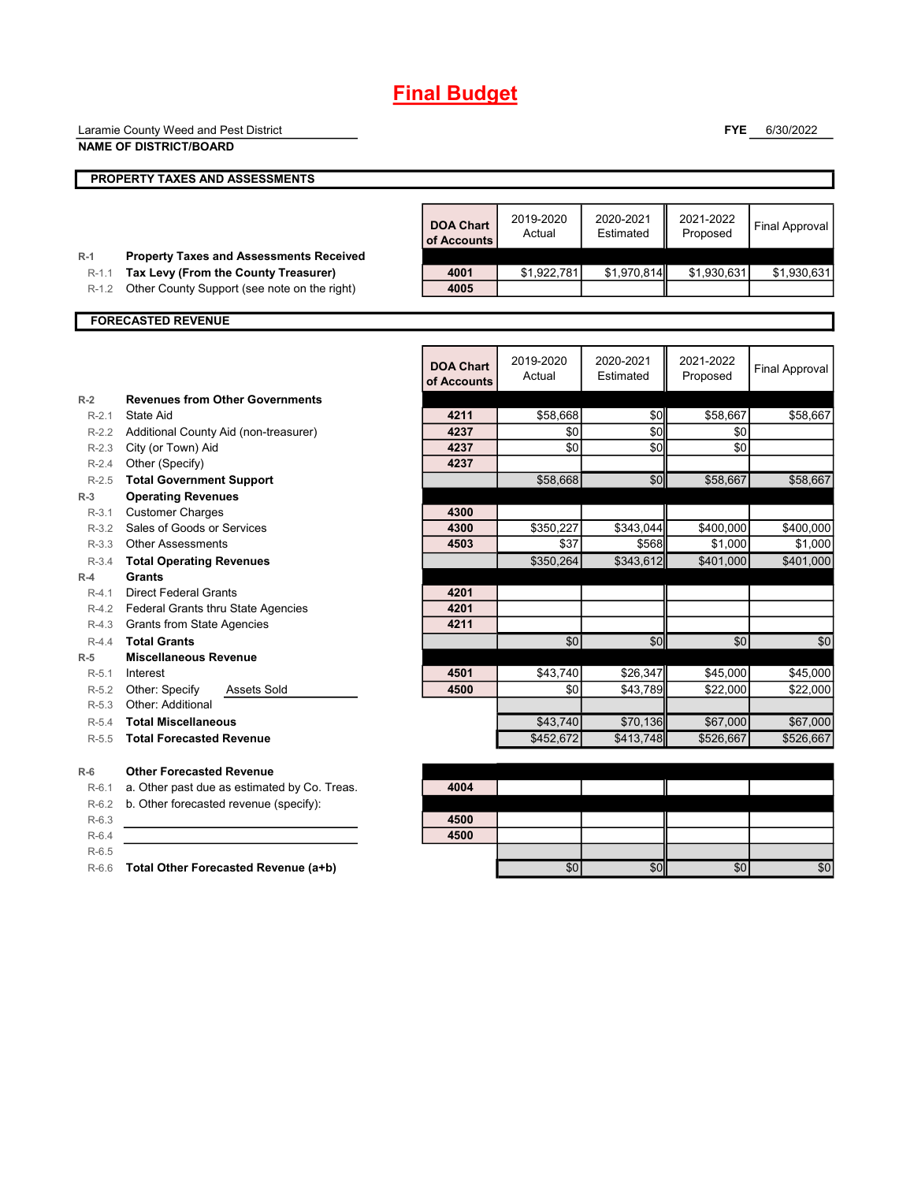# **Final Budget**

|                  | Laramie County Weed and Pest District                |                  |                     |                        | <b>FYE</b>            | 6/30/2022             |
|------------------|------------------------------------------------------|------------------|---------------------|------------------------|-----------------------|-----------------------|
|                  | <b>NAME OF DISTRICT/BOARD</b>                        |                  |                     |                        |                       |                       |
|                  |                                                      |                  |                     |                        |                       |                       |
|                  | <b>PROPERTY TAXES AND ASSESSMENTS</b>                |                  |                     |                        |                       |                       |
|                  |                                                      |                  |                     |                        |                       |                       |
|                  |                                                      | <b>DOA Chart</b> | 2019-2020           | 2020-2021              | 2021-2022             | <b>Final Approval</b> |
|                  |                                                      | of Accounts      | Actual              | Estimated              | Proposed              |                       |
| $R-1$            | <b>Property Taxes and Assessments Received</b>       |                  |                     |                        |                       |                       |
| $R-1.1$          | Tax Levy (From the County Treasurer)                 | 4001             | \$1,922,781         | \$1,970,814            | \$1,930,631           | \$1,930,631           |
| $R-1.2$          | Other County Support (see note on the right)         | 4005             |                     |                        |                       |                       |
|                  |                                                      |                  |                     |                        |                       |                       |
|                  | <b>FORECASTED REVENUE</b>                            |                  |                     |                        |                       |                       |
|                  |                                                      |                  |                     |                        |                       |                       |
|                  |                                                      | <b>DOA Chart</b> | 2019-2020<br>Actual | 2020-2021<br>Estimated | 2021-2022<br>Proposed | <b>Final Approval</b> |
|                  |                                                      | of Accounts      |                     |                        |                       |                       |
| $R-2$            | <b>Revenues from Other Governments</b>               |                  |                     |                        |                       |                       |
| $R-2.1$          | State Aid                                            | 4211             | \$58,668            | \$0                    | \$58,667              | \$58,667              |
|                  | R-2.2 Additional County Aid (non-treasurer)          | 4237             | \$0                 | \$0                    | \$0                   |                       |
|                  | R-2.3 City (or Town) Aid                             | 4237             | \$0                 | \$0                    | \$0                   |                       |
|                  | R-2.4 Other (Specify)                                | 4237             |                     |                        |                       |                       |
| $R-2.5$          | <b>Total Government Support</b>                      |                  | \$58,668            | \$0                    | \$58,667              | \$58,667              |
| $R-3$<br>$R-3.1$ | <b>Operating Revenues</b><br><b>Customer Charges</b> | 4300             |                     |                        |                       |                       |
|                  | R-3.2 Sales of Goods or Services                     | 4300             | \$350,227           | \$343,044              | \$400,000             | \$400,000             |
|                  | R-3.3 Other Assessments                              | 4503             | \$37                | \$568                  | \$1,000               | \$1,000               |
| $R-3.4$          | <b>Total Operating Revenues</b>                      |                  | \$350,264           | \$343,612              | \$401,000             | \$401,000             |
| $R-4$            | <b>Grants</b>                                        |                  |                     |                        |                       |                       |
| $R-4.1$          | <b>Direct Federal Grants</b>                         | 4201             |                     |                        |                       |                       |
|                  | R-4.2 Federal Grants thru State Agencies             | 4201             |                     |                        |                       |                       |
|                  | R-4.3 Grants from State Agencies                     | 4211             |                     |                        |                       |                       |
| $R-4.4$          | <b>Total Grants</b>                                  |                  | \$0                 | \$0                    | \$0                   | \$0                   |
| $R-5$            | <b>Miscellaneous Revenue</b>                         |                  |                     |                        |                       |                       |
| $R-5.1$          | Interest                                             | 4501             | \$43,740            | \$26,347               | \$45,000              | \$45,000              |
| $R-5.2$          | Other: Specify<br><b>Assets Sold</b>                 | 4500             | \$0                 | \$43,789               | \$22,000              | \$22,000              |
|                  | R-5.3 Other: Additional                              |                  |                     |                        |                       |                       |
| $R-5.4$          | <b>Total Miscellaneous</b>                           |                  | \$43,740            | \$70,136               | \$67,000              | \$67,000              |
| $R-5.5$          | <b>Total Forecasted Revenue</b>                      |                  | \$452,672           | \$413,748              | \$526,667             | \$526,667             |
| $R-6$            | <b>Other Forecasted Revenue</b>                      |                  |                     |                        |                       |                       |
| $R-6.1$          | a. Other past due as estimated by Co. Treas.         | 4004             |                     |                        |                       |                       |
| $R-6.2$          | b. Other forecasted revenue (specify):               |                  |                     |                        |                       |                       |
| $R-6.3$          |                                                      | 4500             |                     |                        |                       |                       |
| $R-6.4$          |                                                      | 4500             |                     |                        |                       |                       |
| $R-6.5$          |                                                      |                  |                     |                        |                       |                       |
| $R-6.6$          | Total Other Forecasted Revenue (a+b)                 |                  | \$0                 | \$0                    | \$0                   | \$0                   |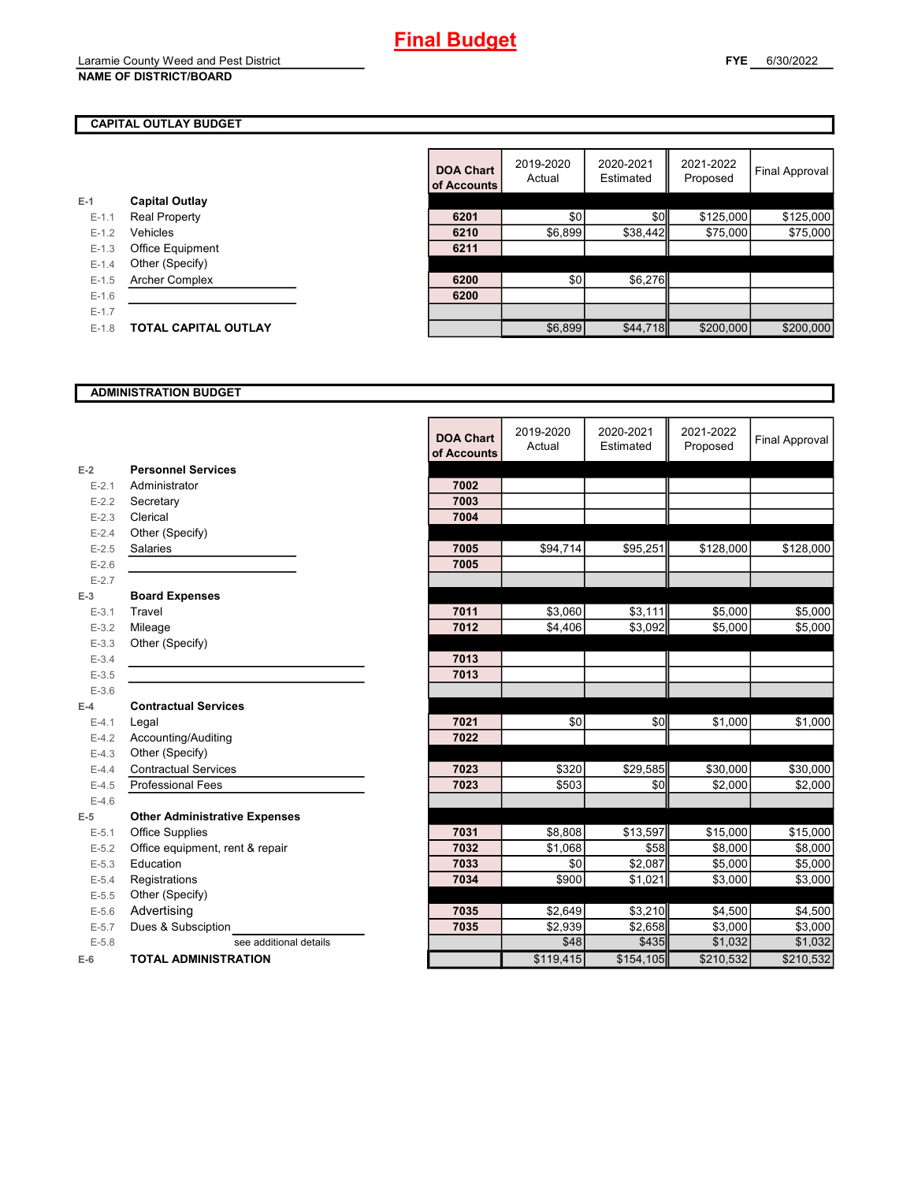#### **FYE** 6/30/2022

#### **CAPITAL OUTLAY BUDGET**

| $E-1$     | <b>Capital Outlay</b>       |      |
|-----------|-----------------------------|------|
| $E - 1.1$ | <b>Real Property</b>        | 6201 |
| $E - 1.2$ | Vehicles                    | 6210 |
| $E - 1.3$ | <b>Office Equipment</b>     | 6211 |
| $E - 1.4$ | Other (Specify)             |      |
| $E-1.5$   | <b>Archer Complex</b>       | 6200 |
| $E - 1.6$ |                             | 6200 |
| $E - 1.7$ |                             |      |
| $E-1.8$   | <b>TOTAL CAPITAL OUTLAY</b> |      |
|           |                             |      |

|         |                       | <b>DOA Chart</b><br>of Accounts | 2019-2020<br>Actual | 2020-2021<br>Estimated | 2021-2022<br>Proposed | Final Approval |
|---------|-----------------------|---------------------------------|---------------------|------------------------|-----------------------|----------------|
|         | <b>Capital Outlay</b> |                                 |                     |                        |                       |                |
| $E-1.1$ | <b>Real Property</b>  | 6201                            | \$0                 | \$0                    | \$125,000             | \$125,000      |
| $E-1.2$ | Vehicles              | 6210                            | \$6,899             | \$38,442               | \$75,000              | \$75,000       |
| $E-1.3$ | Office Equipment      | 6211                            |                     |                        |                       |                |
| $E-1.4$ | Other (Specify)       |                                 |                     |                        |                       |                |
| $E-1.5$ | <b>Archer Complex</b> | 6200                            | \$0                 | \$6,276                |                       |                |
| $E-1.6$ |                       | 6200                            |                     |                        |                       |                |
| $E-1.7$ |                       |                                 |                     |                        |                       |                |
| $E-1.8$ | TOTAL CAPITAL OUTLAY  |                                 | \$6,899             | \$44,718               | \$200,000             | \$200,000      |

#### **ADMINISTRATION BUDGET**

|           |                                      | <b>DOA Chart</b><br>of Accounts | 2019-2020<br>Actual | 2020-2021<br>Estimated | 2021-2022<br>Proposed | Final Approval |
|-----------|--------------------------------------|---------------------------------|---------------------|------------------------|-----------------------|----------------|
| $E-2$     | <b>Personnel Services</b>            |                                 |                     |                        |                       |                |
| $E - 2.1$ | Administrator                        | 7002                            |                     |                        |                       |                |
| $E-2.2$   | Secretary                            | 7003                            |                     |                        |                       |                |
| $E-2.3$   | Clerical                             | 7004                            |                     |                        |                       |                |
| $E - 2.4$ | Other (Specify)                      |                                 |                     |                        |                       |                |
| $E - 2.5$ | Salaries                             | 7005                            | \$94,714            | \$95,251               | \$128,000             | \$128,000      |
| $E-2.6$   |                                      | 7005                            |                     |                        |                       |                |
| $E - 2.7$ |                                      |                                 |                     |                        |                       |                |
| $E-3$     | <b>Board Expenses</b>                |                                 |                     |                        |                       |                |
| $E - 3.1$ | Travel                               | 7011                            | \$3,060             | \$3,111                | \$5,000               | \$5,000        |
| $E - 3.2$ | Mileage                              | 7012                            | \$4,406             | \$3,092                | \$5,000               | \$5,000        |
| $E - 3.3$ | Other (Specify)                      |                                 |                     |                        |                       |                |
| $E - 3.4$ |                                      | 7013                            |                     |                        |                       |                |
| $E - 3.5$ |                                      | 7013                            |                     |                        |                       |                |
| $E - 3.6$ |                                      |                                 |                     |                        |                       |                |
| $E-4$     | <b>Contractual Services</b>          |                                 |                     |                        |                       |                |
| $E - 4.1$ | Legal                                | 7021                            | \$0                 | \$0                    | \$1,000               | \$1,000        |
| $E-4.2$   | Accounting/Auditing                  | 7022                            |                     |                        |                       |                |
| $E-4.3$   | Other (Specify)                      |                                 |                     |                        |                       |                |
| $E-4.4$   | <b>Contractual Services</b>          | 7023                            | \$320               | \$29,585               | \$30,000              | \$30,000       |
| $E-4.5$   | <b>Professional Fees</b>             | 7023                            | \$503               | \$0                    | \$2,000               | \$2,000        |
| $E-4.6$   |                                      |                                 |                     |                        |                       |                |
| $E-5$     | <b>Other Administrative Expenses</b> |                                 |                     |                        |                       |                |
| $E-5.1$   | <b>Office Supplies</b>               | 7031                            | \$8,808             | \$13,597               | \$15,000              | \$15,000       |
| $E-5.2$   | Office equipment, rent & repair      | 7032                            | \$1,068             | \$58                   | \$8,000               | \$8,000        |
| $E - 5.3$ | Education                            | 7033                            | \$0                 | \$2,087                | \$5,000               | \$5,000        |
| $E - 5.4$ | Registrations                        | 7034                            | \$900               | \$1,021                | \$3,000               | \$3,000        |
| $E - 5.5$ | Other (Specify)                      |                                 |                     |                        |                       |                |
| $E-5.6$   | Advertising                          | 7035                            | \$2,649             | \$3.210                | \$4,500               | \$4,500        |
| $E - 5.7$ | Dues & Subsciption                   | 7035                            | \$2,939             | \$2,658                | \$3,000               | \$3,000        |
| $E - 5.8$ | see additional details               |                                 | \$48                | \$435                  | \$1,032               | \$1,032        |
| $E-6$     | <b>TOTAL ADMINISTRATION</b>          |                                 | \$119,415           | \$154,105              | \$210,532             | \$210,532      |

r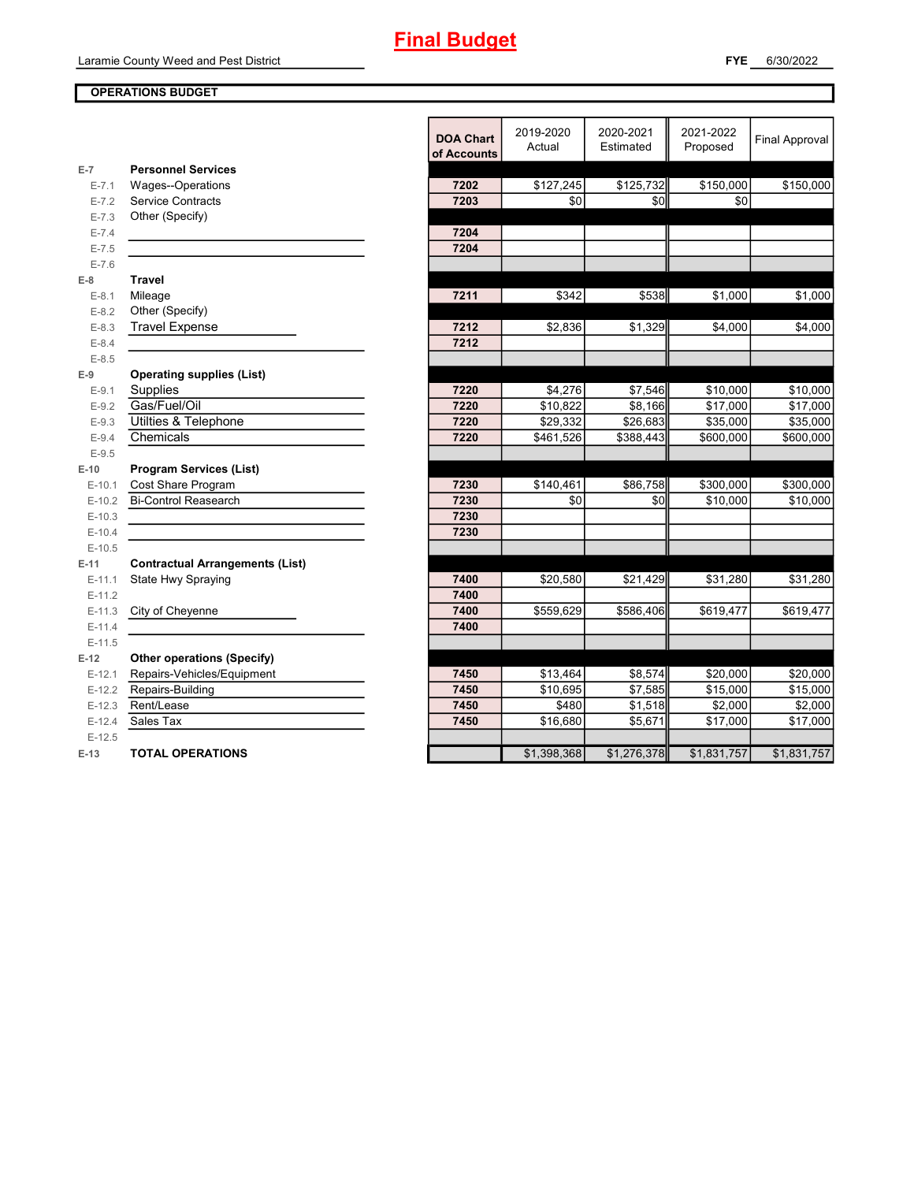#### **OPERATIONS BUDGET**

|           |                                        | <b>DOA Chart</b><br>of Accounts | 2019-2020<br>Actual | 2020-2021<br>Estimated | 2021-2022<br>Proposed | <b>Final Approval</b> |
|-----------|----------------------------------------|---------------------------------|---------------------|------------------------|-----------------------|-----------------------|
| $E-7$     | <b>Personnel Services</b>              |                                 |                     |                        |                       |                       |
| $E - 7.1$ | Wages--Operations                      | 7202                            | \$127,245           | \$125,732              | \$150,000             | \$150,000             |
| $E - 7.2$ | <b>Service Contracts</b>               | 7203                            | \$0                 | \$0                    | \$0                   |                       |
| $E - 7.3$ | Other (Specify)                        |                                 |                     |                        |                       |                       |
| $E - 7.4$ |                                        | 7204                            |                     |                        |                       |                       |
| $E - 7.5$ |                                        | 7204                            |                     |                        |                       |                       |
| $E - 7.6$ |                                        |                                 |                     |                        |                       |                       |
| $E-8$     | <b>Travel</b>                          |                                 |                     |                        |                       |                       |
| $E-8.1$   | Mileage                                | 7211                            | \$342               | \$538                  | \$1,000               | \$1,000               |
| $E - 8.2$ | Other (Specify)                        |                                 |                     |                        |                       |                       |
| $E - 8.3$ | <b>Travel Expense</b>                  | 7212                            | \$2,836             | \$1,329                | \$4,000               | \$4,000               |
| $E - 8.4$ |                                        | 7212                            |                     |                        |                       |                       |
| $E-8.5$   |                                        |                                 |                     |                        |                       |                       |
| $E-9$     | <b>Operating supplies (List)</b>       |                                 |                     |                        |                       |                       |
| $E-9.1$   | Supplies                               | 7220                            | \$4.276             | \$7.546                | \$10,000              | \$10,000              |
| $E-9.2$   | Gas/Fuel/Oil                           | 7220                            | \$10,822            | \$8,166                | \$17,000              | \$17,000              |
| $E-9.3$   | Utilties & Telephone                   | 7220                            | \$29,332            | \$26,683               | \$35,000              | \$35,000              |
| $E-9.4$   | Chemicals                              | 7220                            | \$461,526           | \$388,443              | \$600,000             | \$600,000             |
| $E-9.5$   |                                        |                                 |                     |                        |                       |                       |
| $E-10$    | <b>Program Services (List)</b>         |                                 |                     |                        |                       |                       |
| $E-10.1$  | Cost Share Program                     | 7230                            | \$140,461           | \$86,758               | \$300,000             | \$300,000             |
| $E-10.2$  | <b>Bi-Control Reasearch</b>            | 7230                            | \$0                 | \$0                    | \$10,000              | \$10,000              |
| $E-10.3$  |                                        | 7230                            |                     |                        |                       |                       |
| $E-10.4$  |                                        | 7230                            |                     |                        |                       |                       |
| $E-10.5$  |                                        |                                 |                     |                        |                       |                       |
| $E-11$    | <b>Contractual Arrangements (List)</b> |                                 |                     |                        |                       |                       |
| $E-11.1$  | State Hwy Spraying                     | 7400                            | \$20,580            | \$21,429               | \$31,280              | \$31,280              |
| $E-11.2$  |                                        | 7400                            |                     |                        |                       |                       |
| $E-11.3$  | City of Cheyenne                       | 7400                            | \$559,629           | \$586,406              | \$619,477             | \$619,477             |
| $E-11.4$  |                                        | 7400                            |                     |                        |                       |                       |
| $E-11.5$  |                                        |                                 |                     |                        |                       |                       |
| $E-12$    | <b>Other operations (Specify)</b>      |                                 |                     |                        |                       |                       |
| $E-12.1$  | Repairs-Vehicles/Equipment             | 7450                            | \$13,464            | \$8,574                | \$20,000              | \$20,000              |
| $E-12.2$  | Repairs-Building                       | 7450                            | \$10,695            | \$7,585                | \$15,000              | \$15,000              |
| $E-12.3$  | Rent/Lease                             | 7450                            | \$480               | \$1,518                | \$2,000               | \$2,000               |
| $E-12.4$  | Sales Tax                              | 7450                            | \$16,680            | \$5,671                | \$17,000              | \$17,000              |
| $E-12.5$  |                                        |                                 |                     |                        |                       |                       |
| $E-13$    | <b>TOTAL OPERATIONS</b>                |                                 | \$1,398,368         | \$1,276,378            | \$1,831,757           | \$1,831,757           |
|           |                                        |                                 |                     |                        |                       |                       |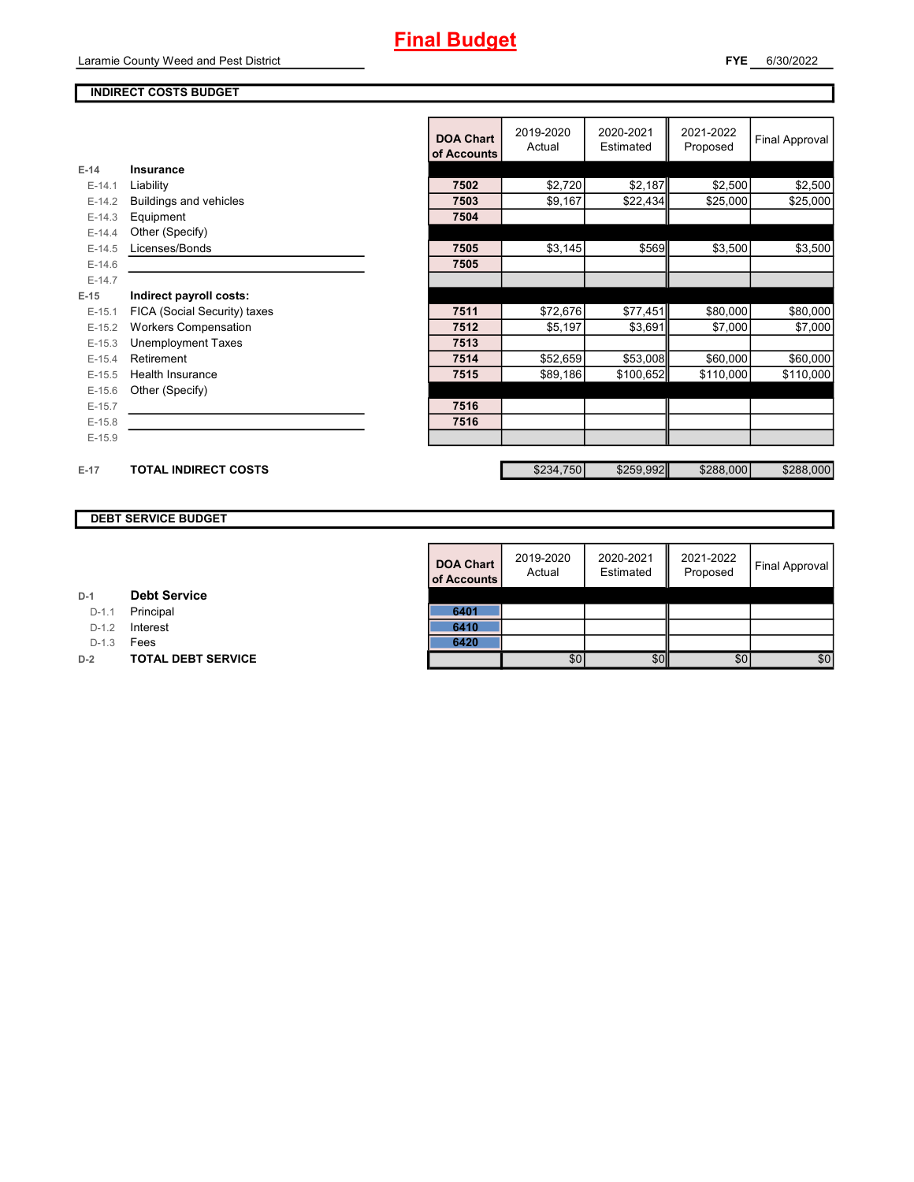#### **FYE** 6/30/2022

#### **INDIRECT COSTS BUDGET**

|          |                              | <b>DOA Chart</b><br>of Accounts | 2019-2020<br>Actual | 2020-2021<br>Estimated | 2021-2022<br>Proposed | <b>Final Approval</b> |
|----------|------------------------------|---------------------------------|---------------------|------------------------|-----------------------|-----------------------|
| $E-14$   | Insurance                    |                                 |                     |                        |                       |                       |
| $E-14.1$ | Liability                    | 7502                            | \$2,720             | \$2,187                | \$2,500               | \$2,500               |
| $E-14.2$ | Buildings and vehicles       | 7503                            | \$9,167             | \$22,434               | \$25,000              | \$25,000              |
| $E-14.3$ | Equipment                    | 7504                            |                     |                        |                       |                       |
| $E-14.4$ | Other (Specify)              |                                 |                     |                        |                       |                       |
| $E-14.5$ | Licenses/Bonds               | 7505                            | \$3,145             | \$569                  | \$3,500               | \$3,500               |
| $E-14.6$ |                              | 7505                            |                     |                        |                       |                       |
| $E-14.7$ |                              |                                 |                     |                        |                       |                       |
| $E-15$   | Indirect payroll costs:      |                                 |                     |                        |                       |                       |
| $E-15.1$ | FICA (Social Security) taxes | 7511                            | \$72,676            | \$77,451               | \$80,000              | \$80,000              |
| $E-15.2$ | <b>Workers Compensation</b>  | 7512                            | \$5,197             | \$3,691                | \$7,000               | \$7,000               |
| $E-15.3$ | <b>Unemployment Taxes</b>    | 7513                            |                     |                        |                       |                       |
| $E-15.4$ | Retirement                   | 7514                            | \$52,659            | \$53,008               | \$60,000              | \$60,000              |
| $E-15.5$ | Health Insurance             | 7515                            | \$89,186            | \$100,652              | \$110,000             | \$110,000             |
| $E-15.6$ | Other (Specify)              |                                 |                     |                        |                       |                       |
| $E-15.7$ |                              | 7516                            |                     |                        |                       |                       |
| $E-15.8$ |                              | 7516                            |                     |                        |                       |                       |
| $E-15.9$ |                              |                                 |                     |                        |                       |                       |
|          |                              |                                 |                     |                        |                       |                       |
| $E-17$   | <b>TOTAL INDIRECT COSTS</b>  |                                 | \$234,750           | \$259,992              | \$288,000             | \$288,000             |

### **DEBT SERVICE BUDGET**

| <b>DOA Chart</b><br>of Accounts | 2019-2020<br>Actual | 2020-2021<br>Estimated | 2021-2022<br>Proposed | <b>Final Approval</b> |
|---------------------------------|---------------------|------------------------|-----------------------|-----------------------|
|                                 |                     |                        |                       |                       |
| 6401                            |                     |                        |                       |                       |
| 6410                            |                     |                        |                       |                       |
| 6420                            |                     |                        |                       |                       |
|                                 | RN.                 |                        | ßſ                    | ዴበ                    |

#### **D-1 Debt Service**

D-1.1 **Principal** 

D-1.2 **Interest** 

D-1.3 **Fees** 

**D-2 TOTAL DEBT SERVICE**